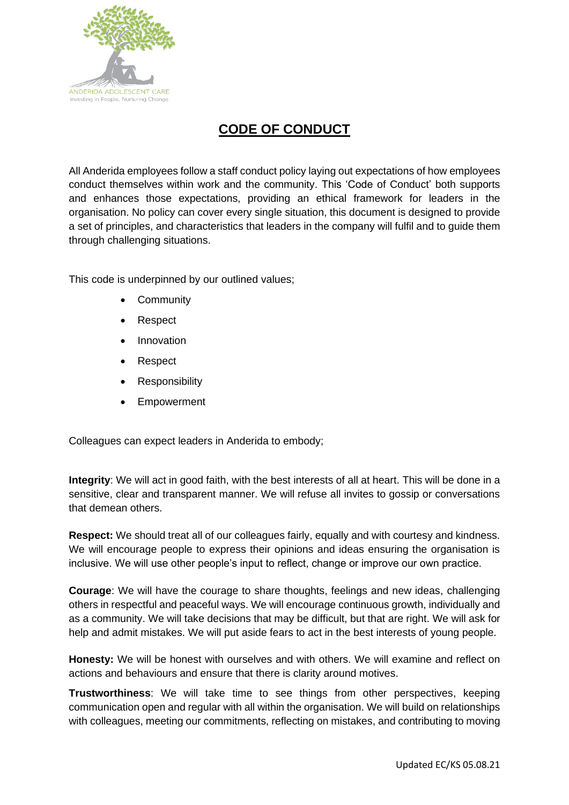

## **CODE OF CONDUCT**

All Anderida employees follow a staff conduct policy laying out expectations of how employees conduct themselves within work and the community. This 'Code of Conduct' both supports and enhances those expectations, providing an ethical framework for leaders in the organisation. No policy can cover every single situation, this document is designed to provide a set of principles, and characteristics that leaders in the company will fulfil and to guide them through challenging situations.

This code is underpinned by our outlined values:

- Community
- Respect
- **Innovation**
- Respect
- **Responsibility**
- **Empowerment**

Colleagues can expect leaders in Anderida to embody;

**Integrity**: We will act in good faith, with the best interests of all at heart. This will be done in a sensitive, clear and transparent manner. We will refuse all invites to gossip or conversations that demean others.

**Respect:** We should treat all of our colleagues fairly, equally and with courtesy and kindness. We will encourage people to express their opinions and ideas ensuring the organisation is inclusive. We will use other people's input to reflect, change or improve our own practice.

**Courage**: We will have the courage to share thoughts, feelings and new ideas, challenging others in respectful and peaceful ways. We will encourage continuous growth, individually and as a community. We will take decisions that may be difficult, but that are right. We will ask for help and admit mistakes. We will put aside fears to act in the best interests of young people.

**Honesty:** We will be honest with ourselves and with others. We will examine and reflect on actions and behaviours and ensure that there is clarity around motives.

**Trustworthiness**: We will take time to see things from other perspectives, keeping communication open and regular with all within the organisation. We will build on relationships with colleagues, meeting our commitments, reflecting on mistakes, and contributing to moving